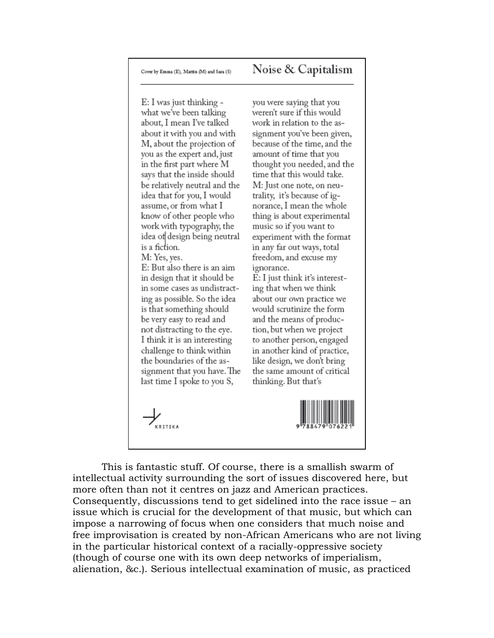## Noise & Capitalism

E: I was just thinking what we've been talking about, I mean I've talked about it with you and with M, about the projection of you as the expert and, just in the first part where M says that the inside should be relatively neutral and the idea that for you, I would assume, or from what I know of other people who work with typography, the idea of design being neutral is a fiction. M: Yes, yes. E: But also there is an aim in design that it should be in some cases as undistracting as possible. So the idea is that something should be very easy to read and not distracting to the eye. I think it is an interesting challenge to think within the boundaries of the assignment that you have. The last time I spoke to you S,

you were saying that you weren't sure if this would work in relation to the assignment you've been given, because of the time, and the amount of time that you thought you needed, and the time that this would take. M: Just one note, on neutrality, it's because of ignorance, I mean the whole thing is about experimental music so if you want to experiment with the format in any far out ways, total freedom, and excuse my ignorance.

E: I just think it's interesting that when we think about our own practice we would scrutinize the form and the means of production, but when we project to another person, engaged in another kind of practice, like design, we don't bring the same amount of critical thinking. But that's



.<br>KRITIKA

This is fantastic stuff. Of course, there is a smallish swarm of intellectual activity surrounding the sort of issues discovered here, but more often than not it centres on jazz and American practices. Consequently, discussions tend to get sidelined into the race issue  $-$  an issue which is crucial for the development of that music, but which can impose a narrowing of focus when one considers that much noise and free improvisation is created by non-African Americans who are not living in the particular historical context of a racially-oppressive society (though of course one with its own deep networks of imperialism, alienation, &c.). Serious intellectual examination of music, as practiced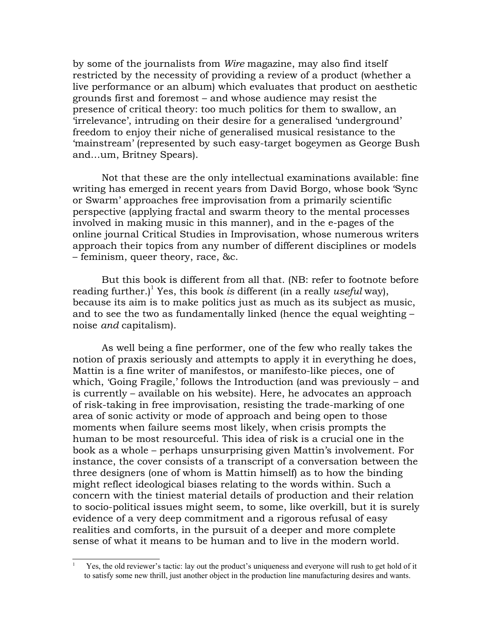by some of the journalists from Wire magazine, may also find itself restricted by the necessity of providing a review of a product (whether a live performance or an album) which evaluates that product on aesthetic grounds first and foremost - and whose audience may resist the presence of critical theory: too much politics for them to swallow, an 'irrelevance', intruding on their desire for a generalised 'underground' freedom to enjoy their niche of generalised musical resistance to the 'mainstream' (represented by such easy-target bogeymen as George Bush and...um, Britney Spears).

Not that these are the only intellectual examinations available: fine writing has emerged in recent years from David Borgo, whose book 'Sync or Swarm' approaches free improvisation from a primarily scientific perspective (applying fractal and swarm theory to the mental processes involved in making music in this manner), and in the e-pages of the online journal Critical Studies in Improvisation, whose numerous writers approach their topics from any number of different disciplines or models - feminism, queer theory, race, &c.

But this book is different from all that. (NB: refer to footnote before reading further.)<sup>1</sup> Yes, this book is different (in a really useful way), because its aim is to make politics just as much as its subject as music, and to see the two as fundamentally linked (hence the equal weighting noise *and* capitalism).

As well being a fine performer, one of the few who really takes the notion of praxis seriously and attempts to apply it in everything he does, Mattin is a fine writer of manifestos, or manifesto-like pieces, one of which, 'Going Fragile,' follows the Introduction (and was previously – and is currently – available on his website). Here, he advocates an approach of risk-taking in free improvisation, resisting the trade-marking of one area of sonic activity or mode of approach and being open to those moments when failure seems most likely, when crisis prompts the human to be most resourceful. This idea of risk is a crucial one in the book as a whole – perhaps unsurprising given Mattin's involvement. For instance, the cover consists of a transcript of a conversation between the three designers (one of whom is Mattin himself) as to how the binding might reflect ideological biases relating to the words within. Such a concern with the tiniest material details of production and their relation to socio-political issues might seem, to some, like overkill, but it is surely evidence of a very deep commitment and a rigorous refusal of easy realities and comforts, in the pursuit of a deeper and more complete sense of what it means to be human and to live in the modern world.

<span id="page-1-0"></span>Yes, the old reviewer's tactic: lay out the product's uniqueness and everyone will rush to get hold of it to satisfy some new thrill, just another object in the production line manufacturing desires and wants.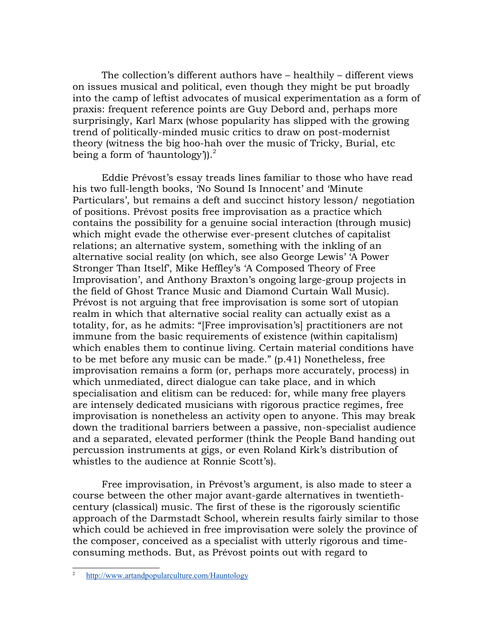The collection's different authors have – healthily – different views on issues musical and political, even though they might be put broadly into the camp of leftist advocates of musical experimentation as a form of praxis: frequent reference points are Guy Debord and, perhaps more surprisingly, Karl Marx (whose popularity has slipped with the growing trend of politically-minded music critics to draw on post-modernist theory (witness the big hoo-hah over the music of Tricky, Burial, etc. being a form of 'hauntology').  $\frac{2}{3}$ 

Eddie Prévost's essay treads lines familiar to those who have read his two full-length books, 'No Sound Is Innocent' and 'Minute Particulars', but remains a deft and succinct history lesson/negotiation of positions. Prévost posits free improvisation as a practice which contains the possibility for a genuine social interaction (through music) which might evade the otherwise ever-present clutches of capitalist relations; an alternative system, something with the inkling of an alternative social reality (on which, see also George Lewis' 'A Power Stronger Than Itself', Mike Heffley's 'A Composed Theory of Free Improvisation', and Anthony Braxton's ongoing large-group projects in the field of Ghost Trance Music and Diamond Curtain Wall Music). Prévost is not arguing that free improvisation is some sort of utopian realm in which that alternative social reality can actually exist as a totality, for, as he admits: "[Free improvisation's] practitioners are not immune from the basic requirements of existence (within capitalism) which enables them to continue living. Certain material conditions have to be met before any music can be made." (p.41) Nonetheless, free improvisation remains a form (or, perhaps more accurately, process) in which unmediated, direct dialogue can take place, and in which specialisation and elitism can be reduced: for, while many free players are intensely dedicated musicians with rigorous practice regimes, free improvisation is nonetheless an activity open to anyone. This may break down the traditional barriers between a passive, non-specialist audience and a separated, elevated performer (think the People Band handing out percussion instruments at gigs, or even Roland Kirk's distribution of whistles to the audience at Ronnie Scott's).

Free improvisation, in Prévost's argument, is also made to steer a course between the other major avant-garde alternatives in twentiethcentury (classical) music. The first of these is the rigorously scientific approach of the Darmstadt School, wherein results fairly similar to those which could be achieved in free improvisation were solely the province of the composer, conceived as a specialist with utterly rigorous and timeconsuming methods. But, as Prévost points out with regard to

<span id="page-2-0"></span>http://www.artandpopularculture.com/Hauntology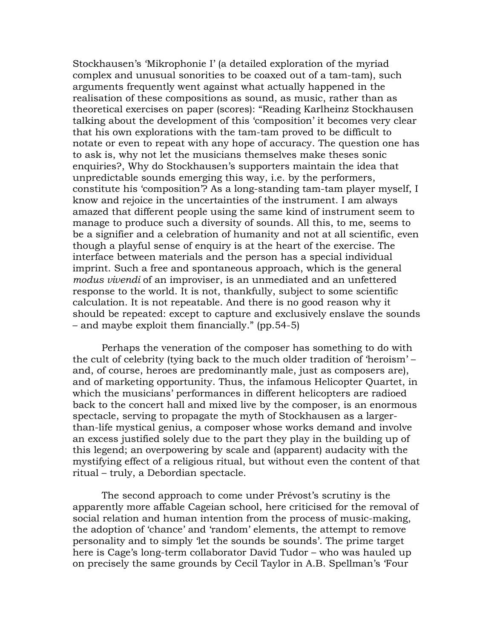Stockhausen's 'Mikrophonie I' (a detailed exploration of the myriad complex and unusual sonorities to be coaxed out of a tam-tam), such arguments frequently went against what actually happened in the realisation of these compositions as sound, as music, rather than as theoretical exercises on paper (scores): "Reading Karlheinz Stockhausen talking about the development of this 'composition' it becomes very clear that his own explorations with the tam-tam proved to be difficult to notate or even to repeat with any hope of accuracy. The question one has to ask is, why not let the musicians themselves make theses sonic enquiries?, Why do Stockhausen's supporters maintain the idea that unpredictable sounds emerging this way, i.e. by the performers, constitute his 'composition'? As a long-standing tam-tam player myself, I know and rejoice in the uncertainties of the instrument. I am always amazed that different people using the same kind of instrument seem to manage to produce such a diversity of sounds. All this, to me, seems to be a signifier and a celebration of humanity and not at all scientific, even though a playful sense of enquiry is at the heart of the exercise. The interface between materials and the person has a special individual imprint. Such a free and spontaneous approach, which is the general modus vivendi of an improviser, is an unmediated and an unfettered response to the world. It is not, thankfully, subject to some scientific calculation. It is not repeatable. And there is no good reason why it should be repeated: except to capture and exclusively enslave the sounds - and maybe exploit them financially." (pp. 54-5)

Perhaps the veneration of the composer has something to do with the cult of celebrity (tying back to the much older tradition of 'heroism' – and, of course, heroes are predominantly male, just as composers are), and of marketing opportunity. Thus, the infamous Helicopter Quartet, in which the musicians' performances in different helicopters are radioed back to the concert hall and mixed live by the composer, is an enormous spectacle, serving to propagate the myth of Stockhausen as a largerthan-life mystical genius, a composer whose works demand and involve an excess justified solely due to the part they play in the building up of this legend; an overpowering by scale and (apparent) audacity with the mystifying effect of a religious ritual, but without even the content of that ritual – truly, a Debordian spectacle.

The second approach to come under Prévost's scrutiny is the apparently more affable Cageian school, here criticised for the removal of social relation and human intention from the process of music-making, the adoption of 'chance' and 'random' elements, the attempt to remove personality and to simply 'let the sounds be sounds'. The prime target here is Cage's long-term collaborator David Tudor – who was hauled up on precisely the same grounds by Cecil Taylor in A.B. Spellman's 'Four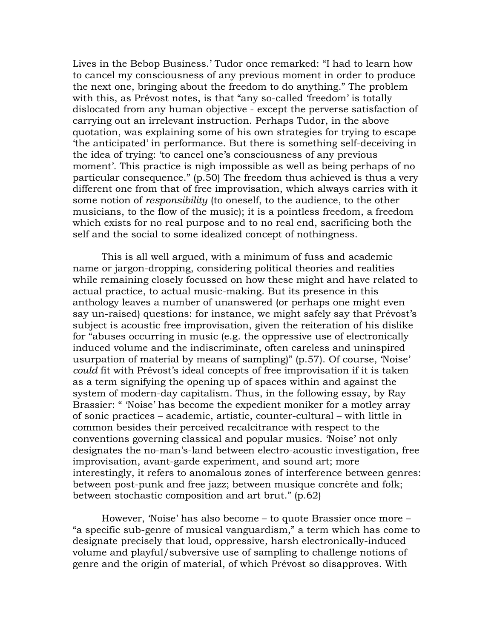Lives in the Bebop Business.' Tudor once remarked: "I had to learn how to cancel my consciousness of any previous moment in order to produce the next one, bringing about the freedom to do anything." The problem with this, as Prévost notes, is that "any so-called 'freedom' is totally dislocated from any human objective - except the perverse satisfaction of carrying out an irrelevant instruction. Perhaps Tudor, in the above quotation, was explaining some of his own strategies for trying to escape 'the anticipated' in performance. But there is something self-deceiving in the idea of trying: 'to cancel one's consciousness of any previous moment'. This practice is nigh impossible as well as being perhaps of no particular consequence." (p.50) The freedom thus achieved is thus a very different one from that of free improvisation, which always carries with it some notion of *responsibility* (to oneself, to the audience, to the other musicians, to the flow of the music); it is a pointless freedom, a freedom which exists for no real purpose and to no real end, sacrificing both the self and the social to some idealized concept of nothingness.

This is all well argued, with a minimum of fuss and academic name or jargon-dropping, considering political theories and realities while remaining closely focussed on how these might and have related to actual practice, to actual music-making. But its presence in this anthology leaves a number of unanswered (or perhaps one might even say un-raised) questions: for instance, we might safely say that Prévost's subject is acoustic free improvisation, given the reiteration of his dislike for "abuses occurring in music (e.g. the oppressive use of electronically induced volume and the indiscriminate, often careless and uninspired usurpation of material by means of sampling)" (p.57). Of course, 'Noise' could fit with Prévost's ideal concepts of free improvisation if it is taken as a term signifying the opening up of spaces within and against the system of modern-day capitalism. Thus, in the following essay, by Ray Brassier: " 'Noise' has become the expedient moniker for a motley array of sonic practices – academic, artistic, counter-cultural – with little in common besides their perceived recalcitrance with respect to the conventions governing classical and popular musics. 'Noise' not only designates the no-man's-land between electro-acoustic investigation, free improvisation, avant-garde experiment, and sound art; more interestingly, it refers to anomalous zones of interference between genres: between post-punk and free jazz; between musique concrète and folk; between stochastic composition and art brut." (p.62)

However, 'Noise' has also become – to quote Brassier once more – "a specific sub-genre of musical vanguardism," a term which has come to designate precisely that loud, oppressive, harsh electronically-induced volume and playful/subversive use of sampling to challenge notions of genre and the origin of material, of which Prévost so disapproves. With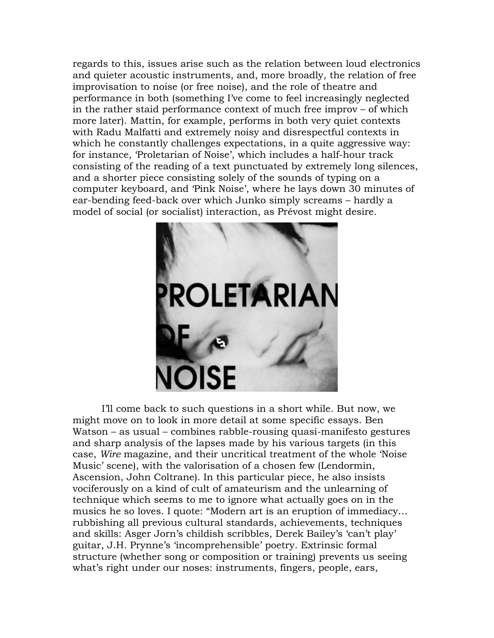regards to this, issues arise such as the relation between loud electronics and quieter acoustic instruments, and, more broadly, the relation of free improvisation to noise (or free noise), and the role of theatre and performance in both (something I've come to feel increasingly neglected in the rather staid performance context of much free improv – of which more later). Mattin, for example, performs in both very quiet contexts with Radu Malfatti and extremely noisy and disrespectful contexts in which he constantly challenges expectations, in a quite aggressive way: for instance, 'Proletarian of Noise', which includes a half-hour track consisting of the reading of a text punctuated by extremely long silences, and a shorter piece consisting solely of the sounds of typing on a computer keyboard, and 'Pink Noise', where he lays down 30 minutes of ear-bending feed-back over which Junko simply screams – hardly a model of social (or socialist) interaction, as Prévost might desire.



I'll come back to such questions in a short while. But now, we might move on to look in more detail at some specific essays. Ben Watson – as usual – combines rabble-rousing quasi-manifesto gestures and sharp analysis of the lapses made by his various targets (in this case, *Wire* magazine, and their uncritical treatment of the whole 'Noise' Music' scene), with the valorisation of a chosen few (Lendormin, Ascension, John Coltrane). In this particular piece, he also insists vociferously on a kind of cult of amateurism and the unlearning of technique which seems to me to ignore what actually goes on in the musics he so loves. I quote: "Modern art is an eruption of immediacy... rubbishing all previous cultural standards, achievements, techniques and skills: Asger Jorn's childish scribbles, Derek Bailey's 'can't play' guitar, J.H. Prynne's 'incomprehensible' poetry. Extrinsic formal structure (whether song or composition or training) prevents us seeing what's right under our noses: instruments, fingers, people, ears,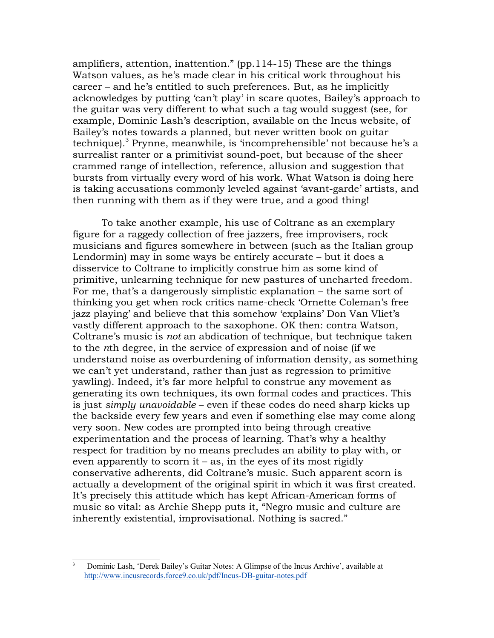amplifiers, attention, inattention." (pp.114-15) These are the things Watson values, as he's made clear in his critical work throughout his career – and he's entitled to such preferences. But, as he implicitly acknowledges by putting 'can't play' in scare quotes, Bailey's approach to the guitar was very different to what such a tag would suggest (see, for example, Dominic Lash's description, available on the Incus website, of Bailey's notes towards a planned, but never written book on guitar technique).<sup>3</sup> Prynne, meanwhile, is 'incomprehensible' not because he's a surrealist ranter or a primitivist sound-poet, but because of the sheer crammed range of intellection, reference, allusion and suggestion that bursts from virtually every word of his work. What Watson is doing here is taking accusations commonly leveled against 'avant-garde' artists, and then running with them as if they were true, and a good thing!

To take another example, his use of Coltrane as an exemplary figure for a raggedy collection of free jazzers, free improvisers, rock musicians and figures somewhere in between (such as the Italian group Lendormin) may in some ways be entirely accurate – but it does a disservice to Coltrane to implicitly construe him as some kind of primitive, unlearning technique for new pastures of uncharted freedom. For me, that's a dangerously simplistic explanation  $-$  the same sort of thinking you get when rock critics name-check 'Ornette Coleman's free jazz playing' and believe that this somehow 'explains' Don Van Vliet's vastly different approach to the saxophone. OK then: contra Watson, Coltrane's music is not an abdication of technique, but technique taken to the *n*th degree, in the service of expression and of noise (if we understand noise as overburdening of information density, as something we can't yet understand, rather than just as regression to primitive yawling). Indeed, it's far more helpful to construe any movement as generating its own techniques, its own formal codes and practices. This is just simply unavoidable – even if these codes do need sharp kicks up the backside every few years and even if something else may come along very soon. New codes are prompted into being through creative experimentation and the process of learning. That's why a healthy respect for tradition by no means precludes an ability to play with, or even apparently to scorn it  $-$  as, in the eyes of its most rigidly conservative adherents, did Coltrane's music. Such apparent scorn is actually a development of the original spirit in which it was first created. It's precisely this attitude which has kept African-American forms of music so vital: as Archie Shepp puts it, "Negro music and culture are inherently existential, improvisational. Nothing is sacred."

<span id="page-6-0"></span>Dominic Lash, 'Derek Bailey's Guitar Notes: A Glimpse of the Incus Archive', available at http://www.incusrecords.force9.co.uk/pdf/Incus-DB-guitar-notes.pdf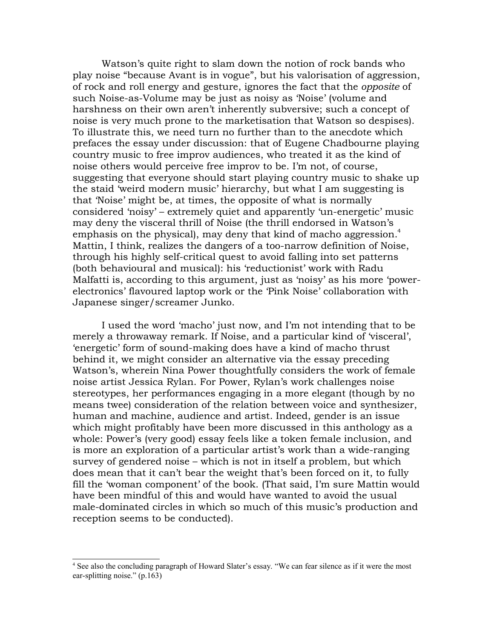Watson's quite right to slam down the notion of rock bands who play noise "because Avant is in vogue", but his valorisation of aggression, of rock and roll energy and gesture, ignores the fact that the opposite of such Noise-as-Volume may be just as noisy as 'Noise' (volume and harshness on their own aren't inherently subversive; such a concept of noise is very much prone to the marketisation that Watson so despises). To illustrate this, we need turn no further than to the anecdote which prefaces the essay under discussion: that of Eugene Chadbourne playing country music to free improv audiences, who treated it as the kind of noise others would perceive free improv to be. I'm not, of course, suggesting that everyone should start playing country music to shake up the staid 'weird modern music' hierarchy, but what I am suggesting is that 'Noise' might be, at times, the opposite of what is normally considered 'noisy' – extremely quiet and apparently 'un-energetic' music may deny the visceral thrill of Noise (the thrill endorsed in Watson's emphasis on the physical), may deny that kind of macho aggression.<sup>4</sup> Mattin, I think, realizes the dangers of a too-narrow definition of Noise, through his highly self-critical quest to avoid falling into set patterns (both behavioural and musical): his 'reductionist' work with Radu Malfatti is, according to this argument, just as 'noisy' as his more 'powerelectronics' flavoured laptop work or the 'Pink Noise' collaboration with Japanese singer/screamer Junko.

I used the word 'macho' just now, and I'm not intending that to be merely a throwaway remark. If Noise, and a particular kind of 'visceral', 'energetic' form of sound-making does have a kind of macho thrust behind it, we might consider an alternative via the essay preceding Watson's, wherein Nina Power thoughtfully considers the work of female noise artist Jessica Rylan. For Power, Rylan's work challenges noise stereotypes, her performances engaging in a more elegant (though by no means twee) consideration of the relation between voice and synthesizer, human and machine, audience and artist. Indeed, gender is an issue which might profitably have been more discussed in this anthology as a whole: Power's (very good) essay feels like a token female inclusion, and is more an exploration of a particular artist's work than a wide-ranging survey of gendered noise – which is not in itself a problem, but which does mean that it can't bear the weight that's been forced on it, to fully fill the 'woman component' of the book. (That said, I'm sure Mattin would have been mindful of this and would have wanted to avoid the usual male-dominated circles in which so much of this music's production and reception seems to be conducted).

<span id="page-7-0"></span><sup>&</sup>lt;sup>4</sup> See also the concluding paragraph of Howard Slater's essay. "We can fear silence as if it were the most ear-splitting noise."  $(p.163)$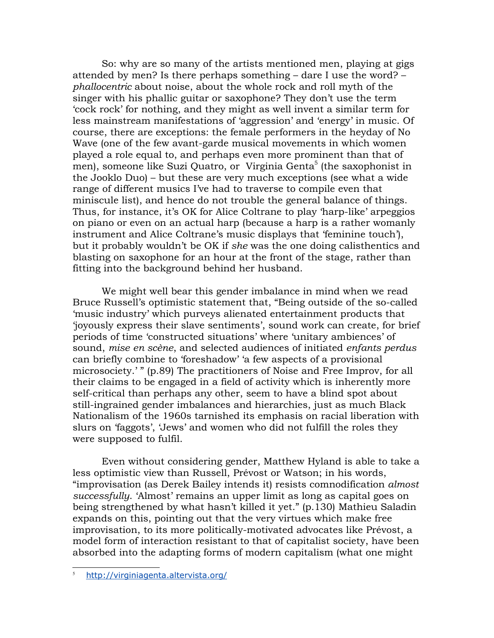So: why are so many of the artists mentioned men, playing at gigs attended by men? Is there perhaps something – dare I use the word? – *phallocentric* about noise, about the whole rock and roll myth of the singer with his phallic guitar or saxophone? They don't use the term 'cock rock' for nothing, and they might as well invent a similar term for less mainstream manifestations of 'aggression' and 'energy' in music. Of course, there are exceptions: the female performers in the heyday of No Wave (one of the few avant-garde musical movements in which women played a role equal to, and perhaps even more prominent than that of men), someone like Suzi Quatro, or Virginia Genta<sup>5</sup> (the saxophonist in the Jooklo Duo) – but these are very much exceptions (see what a wide range of different musics I've had to traverse to compile even that miniscule list), and hence do not trouble the general balance of things. Thus, for instance, it's OK for Alice Coltrane to play 'harp-like' arpeggios on piano or even on an actual harp (because a harp is a rather womanly instrument and Alice Coltrane's music displays that 'feminine touch'), but it probably wouldn't be OK if she was the one doing calisthentics and blasting on saxophone for an hour at the front of the stage, rather than fitting into the background behind her husband.

We might well bear this gender imbalance in mind when we read Bruce Russell's optimistic statement that, "Being outside of the so-called 'music industry' which purveys alienated entertainment products that 'joyously express their slave sentiments', sound work can create, for brief periods of time 'constructed situations' where 'unitary ambiences' of sound, mise en scène, and selected audiences of initiated enfants perdus can briefly combine to 'foreshadow' 'a few aspects of a provisional microsociety.'" (p.89) The practitioners of Noise and Free Improv, for all their claims to be engaged in a field of activity which is inherently more self-critical than perhaps any other, seem to have a blind spot about still-ingrained gender imbalances and hierarchies, just as much Black Nationalism of the 1960s tarnished its emphasis on racial liberation with slurs on 'faggots', 'Jews' and women who did not fulfill the roles they were supposed to fulfil.

Even without considering gender, Matthew Hyland is able to take a less optimistic view than Russell, Prévost or Watson; in his words, "improvisation (as Derek Bailey intends it) resists comnodification almost successfully. 'Almost' remains an upper limit as long as capital goes on being strengthened by what hasn't killed it yet." (p.130) Mathieu Saladin expands on this, pointing out that the very virtues which make free improvisation, to its more politically-motivated advocates like Prévost, a model form of interaction resistant to that of capitalist society, have been absorbed into the adapting forms of modern capitalism (what one might)

<span id="page-8-0"></span>http://virginiagenta.altervista.org/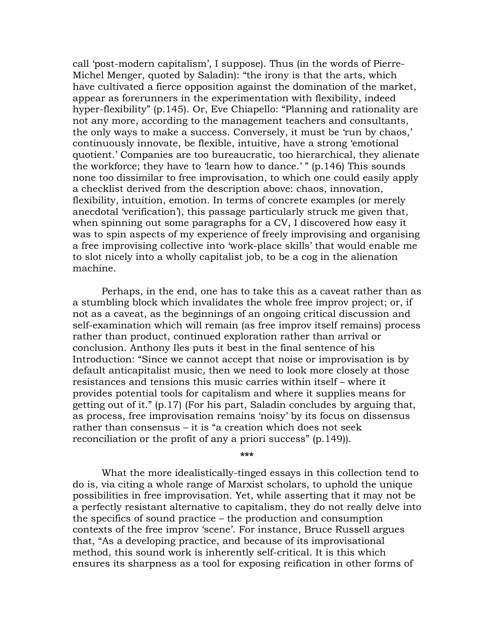call 'post-modern capitalism', I suppose). Thus (in the words of Pierre-Michel Menger, quoted by Saladin): "the irony is that the arts, which have cultivated a fierce opposition against the domination of the market, appear as forerunners in the experimentation with flexibility, indeed hyper-flexibility" (p.145). Or, Eve Chiapello: "Planning and rationality are not any more, according to the management teachers and consultants, the only ways to make a success. Conversely, it must be 'run by chaos,' continuously innovate, be flexible, intuitive, have a strong 'emotional quotient.' Companies are too bureaucratic, too hierarchical, they alienate the workforce; they have to 'learn how to dance.' " (p.146) This sounds none too dissimilar to free improvisation, to which one could easily apply a checklist derived from the description above: chaos, innovation, flexibility, intuition, emotion. In terms of concrete examples (or merely anecdotal 'verification'), this passage particularly struck me given that, when spinning out some paragraphs for a CV, I discovered how easy it was to spin aspects of my experience of freely improvising and organising a free improvising collective into 'work-place skills' that would enable me to slot nicely into a wholly capitalist job, to be a cog in the alienation machine.

Perhaps, in the end, one has to take this as a caveat rather than as a stumbling block which invalidates the whole free improv project; or, if not as a caveat, as the beginnings of an ongoing critical discussion and self-examination which will remain (as free improv itself remains) process rather than product, continued exploration rather than arrival or conclusion. Anthony Iles puts it best in the final sentence of his Introduction: "Since we cannot accept that noise or improvisation is by default anticapitalist music, then we need to look more closely at those resistances and tensions this music carries within itself – where it provides potential tools for capitalism and where it supplies means for getting out of it." (p.17) (For his part, Saladin concludes by arguing that, as process, free improvisation remains 'noisy' by its focus on dissensus rather than consensus – it is "a creation which does not seek reconciliation or the profit of any a priori success" (p.149).

 $***$ 

What the more idealistically-tinged essays in this collection tend to do is, via citing a whole range of Marxist scholars, to uphold the unique possibilities in free improvisation. Yet, while asserting that it may not be a perfectly resistant alternative to capitalism, they do not really delve into the specifics of sound practice  $-$  the production and consumption contexts of the free improv 'scene'. For instance, Bruce Russell argues that, "As a developing practice, and because of its improvisational method, this sound work is inherently self-critical. It is this which ensures its sharpness as a tool for exposing reification in other forms of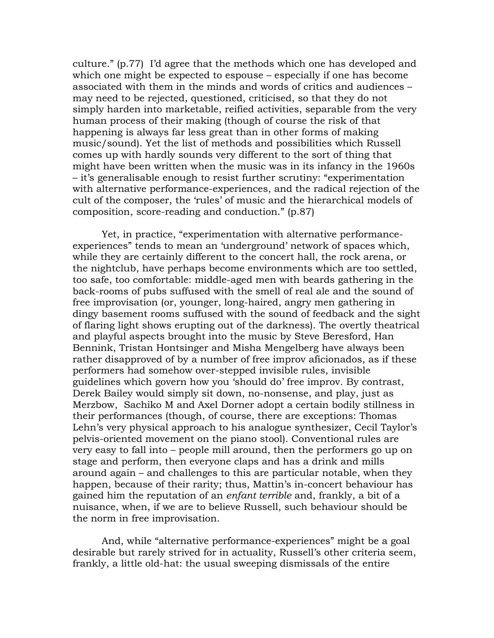culture." (p.77) I'd agree that the methods which one has developed and which one might be expected to espouse – especially if one has become associated with them in the minds and words of critics and audiences – may need to be rejected, questioned, criticised, so that they do not simply harden into marketable, reified activities, separable from the very human process of their making (though of course the risk of that happening is always far less great than in other forms of making music/sound). Yet the list of methods and possibilities which Russell comes up with hardly sounds very different to the sort of thing that might have been written when the music was in its infancy in the 1960s - it's generalisable enough to resist further scrutiny: "experimentation" with alternative performance-experiences, and the radical rejection of the cult of the composer, the 'rules' of music and the hierarchical models of composition, score-reading and conduction." (p.87)

Yet, in practice, "experimentation with alternative performanceexperiences" tends to mean an 'underground' network of spaces which, while they are certainly different to the concert hall, the rock arena, or the nightclub, have perhaps become environments which are too settled, too safe, too comfortable: middle-aged men with beards gathering in the back-rooms of pubs suffused with the smell of real ale and the sound of free improvisation (or, younger, long-haired, angry men gathering in dingy basement rooms suffused with the sound of feedback and the sight of flaring light shows erupting out of the darkness). The overtly theatrical and playful aspects brought into the music by Steve Beresford, Han Bennink, Tristan Hontsinger and Misha Mengelberg have always been rather disapproved of by a number of free improv aficionados, as if these performers had somehow over-stepped invisible rules, invisible guidelines which govern how you 'should do' free improv. By contrast, Derek Bailey would simply sit down, no-nonsense, and play, just as Merzbow, Sachiko M and Axel Dorner adopt a certain bodily stillness in their performances (though, of course, there are exceptions: Thomas Lehn's very physical approach to his analogue synthesizer, Cecil Taylor's pelvis-oriented movement on the piano stool). Conventional rules are very easy to fall into – people mill around, then the performers go up on stage and perform, then everyone claps and has a drink and mills around again – and challenges to this are particular notable, when they happen, because of their rarity; thus, Mattin's in-concert behaviour has gained him the reputation of an enfant terrible and, frankly, a bit of a nuisance, when, if we are to believe Russell, such behaviour should be the norm in free improvisation.

And, while "alternative performance-experiences" might be a goal desirable but rarely strived for in actuality, Russell's other criteria seem, frankly, a little old-hat: the usual sweeping dismissals of the entire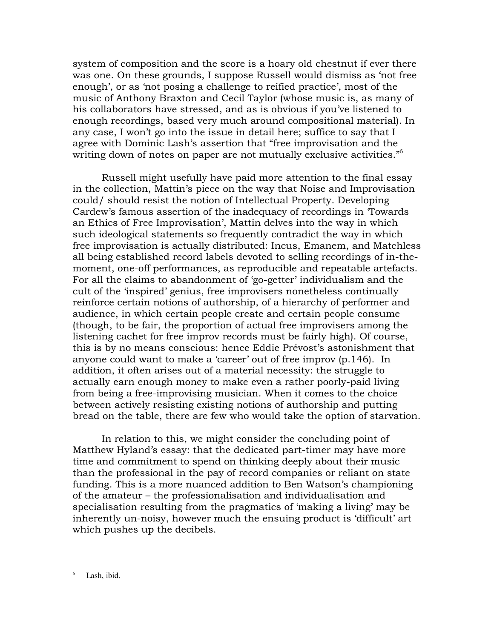system of composition and the score is a hoary old chestnut if ever there was one. On these grounds, I suppose Russell would dismiss as 'not free enough', or as 'not posing a challenge to reified practice', most of the music of Anthony Braxton and Cecil Taylor (whose music is, as many of his collaborators have stressed, and as is obvious if you've listened to enough recordings, based very much around compositional material). In any case, I won't go into the issue in detail here; suffice to say that I agree with Dominic Lash's assertion that "free improvisation and the writing down of notes on paper are not mutually exclusive activities."<sup>6</sup>

Russell might usefully have paid more attention to the final essay in the collection, Mattin's piece on the way that Noise and Improvisation could/should resist the notion of Intellectual Property. Developing Cardew's famous assertion of the inadequacy of recordings in Towards an Ethics of Free Improvisation', Mattin delves into the way in which such ideological statements so frequently contradict the way in which free improvisation is actually distributed: Incus, Emanem, and Matchless all being established record labels devoted to selling recordings of in-themoment, one-off performances, as reproducible and repeatable artefacts. For all the claims to abandonment of 'go-getter' individualism and the cult of the 'inspired' genius, free improvisers nonetheless continually reinforce certain notions of authorship, of a hierarchy of performer and audience, in which certain people create and certain people consume (though, to be fair, the proportion of actual free improvisers among the listening cachet for free improv records must be fairly high). Of course, this is by no means conscious: hence Eddie Prévost's astonishment that anyone could want to make a 'career' out of free improv (p.146). In addition, it often arises out of a material necessity: the struggle to actually earn enough money to make even a rather poorly-paid living from being a free-improvising musician. When it comes to the choice between actively resisting existing notions of authorship and putting bread on the table, there are few who would take the option of starvation.

In relation to this, we might consider the concluding point of Matthew Hyland's essay: that the dedicated part-timer may have more time and commitment to spend on thinking deeply about their music than the professional in the pay of record companies or reliant on state funding. This is a more nuanced addition to Ben Watson's championing of the amateur – the professionalisation and individualisation and specialisation resulting from the pragmatics of 'making a living' may be inherently un-noisy, however much the ensuing product is 'difficult' art which pushes up the decibels.

<span id="page-11-0"></span>Lash, ibid.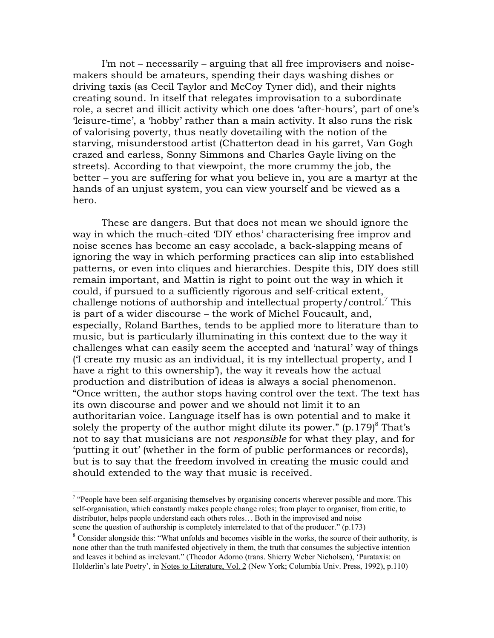I'm not – necessarily – arguing that all free improvisers and noisemakers should be amateurs, spending their days washing dishes or driving taxis (as Cecil Taylor and McCoy Tyner did), and their nights creating sound. In itself that relegates improvisation to a subordinate role, a secret and illicit activity which one does 'after-hours', part of one's 'leisure-time', a 'hobby' rather than a main activity. It also runs the risk of valorising poverty, thus neatly dovetailing with the notion of the starving, misunderstood artist (Chatterton dead in his garret, Van Gogh crazed and earless, Sonny Simmons and Charles Gayle living on the streets). According to that viewpoint, the more crummy the job, the better – you are suffering for what you believe in, you are a martyr at the hands of an unjust system, you can view yourself and be viewed as a hero.

These are dangers. But that does not mean we should ignore the way in which the much-cited 'DIY ethos' characterising free improv and noise scenes has become an easy accolade, a back-slapping means of ignoring the way in which performing practices can slip into established patterns, or even into cliques and hierarchies. Despite this, DIY does still remain important, and Mattin is right to point out the way in which it could, if pursued to a sufficiently rigorous and self-critical extent, challenge notions of authorship and intellectual property/control.<sup>7</sup> This is part of a wider discourse – the work of Michel Foucault, and, especially, Roland Barthes, tends to be applied more to literature than to music, but is particularly illuminating in this context due to the way it challenges what can easily seem the accepted and 'natural' way of things (I create my music as an individual, it is my intellectual property, and I have a right to this ownership'), the way it reveals how the actual production and distribution of ideas is always a social phenomenon. "Once written, the author stops having control over the text. The text has its own discourse and power and we should not limit it to an authoritarian voice. Language itself has is own potential and to make it solely the property of the author might dilute its power."  $(p.179)^8$  That's not to say that musicians are not *responsible* for what they play, and for 'putting it out' (whether in the form of public performances or records), but is to say that the freedom involved in creating the music could and should extended to the way that music is received.

<span id="page-12-1"></span><sup>&</sup>lt;sup>7</sup> "People have been self-organising themselves by organising concerts wherever possible and more. This self-organisation, which constantly makes people change roles; from player to organiser, from critic, to distributor, helps people understand each others roles... Both in the improvised and noise scene the question of authorship is completely interrelated to that of the producer." (p.173)

<span id="page-12-0"></span><sup>&</sup>lt;sup>8</sup> Consider alongside this: "What unfolds and becomes visible in the works, the source of their authority, is none other than the truth manifested objectively in them, the truth that consumes the subjective intention and leaves it behind as irrelevant." (Theodor Adorno (trans. Shierry Weber Nicholsen), 'Parataxis: on Holderlin's late Poetry', in Notes to Literature, Vol. 2 (New York; Columbia Univ. Press, 1992), p.110)